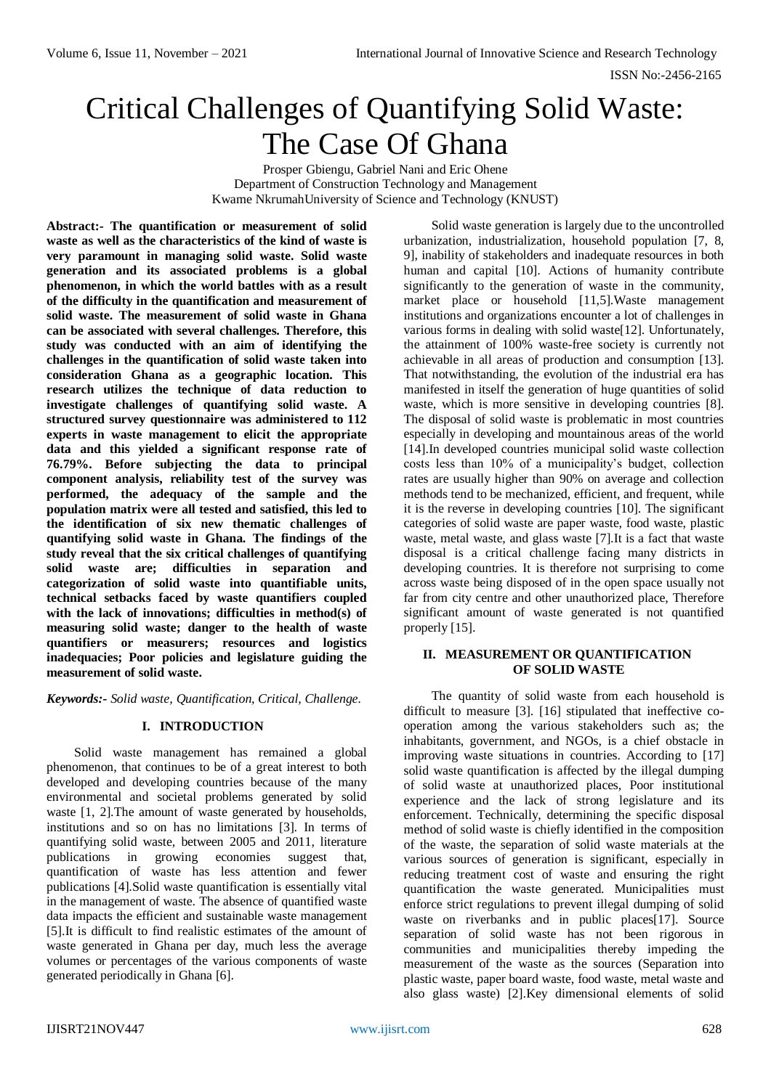# Critical Challenges of Quantifying Solid Waste: The Case Of Ghana

Prosper Gbiengu, Gabriel Nani and Eric Ohene Department of Construction Technology and Management Kwame NkrumahUniversity of Science and Technology (KNUST)

**Abstract:- The quantification or measurement of solid waste as well as the characteristics of the kind of waste is very paramount in managing solid waste. Solid waste generation and its associated problems is a global phenomenon, in which the world battles with as a result of the difficulty in the quantification and measurement of solid waste. The measurement of solid waste in Ghana can be associated with several challenges. Therefore, this study was conducted with an aim of identifying the challenges in the quantification of solid waste taken into consideration Ghana as a geographic location. This research utilizes the technique of data reduction to investigate challenges of quantifying solid waste. A structured survey questionnaire was administered to 112 experts in waste management to elicit the appropriate data and this yielded a significant response rate of 76.79%. Before subjecting the data to principal component analysis, reliability test of the survey was performed, the adequacy of the sample and the population matrix were all tested and satisfied, this led to the identification of six new thematic challenges of quantifying solid waste in Ghana. The findings of the study reveal that the six critical challenges of quantifying solid waste are; difficulties in separation and categorization of solid waste into quantifiable units, technical setbacks faced by waste quantifiers coupled with the lack of innovations; difficulties in method(s) of measuring solid waste; danger to the health of waste quantifiers or measurers; resources and logistics inadequacies; Poor policies and legislature guiding the measurement of solid waste.**

*Keywords:- Solid waste, Quantification, Critical, Challenge.*

# **I. INTRODUCTION**

Solid waste management has remained a global phenomenon, that continues to be of a great interest to both developed and developing countries because of the many environmental and societal problems generated by solid waste [1, 2].The amount of waste generated by households, institutions and so on has no limitations [3]. In terms of quantifying solid waste, between 2005 and 2011, literature publications in growing economies suggest that, quantification of waste has less attention and fewer publications [4].Solid waste quantification is essentially vital in the management of waste. The absence of quantified waste data impacts the efficient and sustainable waste management [5].It is difficult to find realistic estimates of the amount of waste generated in Ghana per day, much less the average volumes or percentages of the various components of waste generated periodically in Ghana [6].

Solid waste generation is largely due to the uncontrolled urbanization, industrialization, household population [7, 8, 9], inability of stakeholders and inadequate resources in both human and capital [10]. Actions of humanity contribute significantly to the generation of waste in the community, market place or household [11,5].Waste management institutions and organizations encounter a lot of challenges in various forms in dealing with solid waste[12]. Unfortunately, the attainment of 100% waste-free society is currently not achievable in all areas of production and consumption [13]. That notwithstanding, the evolution of the industrial era has manifested in itself the generation of huge quantities of solid waste, which is more sensitive in developing countries [8]. The disposal of solid waste is problematic in most countries especially in developing and mountainous areas of the world [14].In developed countries municipal solid waste collection costs less than 10% of a municipality's budget, collection rates are usually higher than 90% on average and collection methods tend to be mechanized, efficient, and frequent, while it is the reverse in developing countries [10]. The significant categories of solid waste are paper waste, food waste, plastic waste, metal waste, and glass waste [7].It is a fact that waste disposal is a critical challenge facing many districts in developing countries. It is therefore not surprising to come across waste being disposed of in the open space usually not far from city centre and other unauthorized place, Therefore significant amount of waste generated is not quantified properly [15].

## **II. MEASUREMENT OR QUANTIFICATION OF SOLID WASTE**

The quantity of solid waste from each household is difficult to measure [3]. [16] stipulated that ineffective cooperation among the various stakeholders such as; the inhabitants, government, and NGOs, is a chief obstacle in improving waste situations in countries. According to [17] solid waste quantification is affected by the illegal dumping of solid waste at unauthorized places, Poor institutional experience and the lack of strong legislature and its enforcement. Technically, determining the specific disposal method of solid waste is chiefly identified in the composition of the waste, the separation of solid waste materials at the various sources of generation is significant, especially in reducing treatment cost of waste and ensuring the right quantification the waste generated. Municipalities must enforce strict regulations to prevent illegal dumping of solid waste on riverbanks and in public places<sup>[17]</sup>. Source separation of solid waste has not been rigorous in communities and municipalities thereby impeding the measurement of the waste as the sources (Separation into plastic waste, paper board waste, food waste, metal waste and also glass waste) [2].Key dimensional elements of solid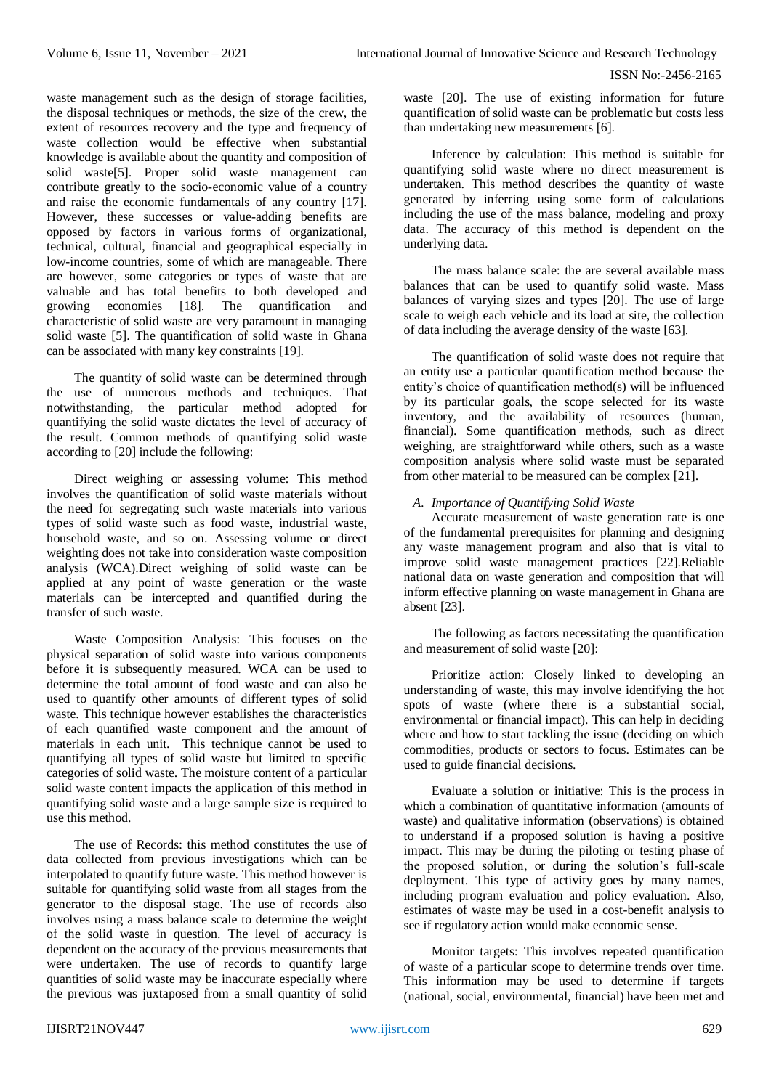waste management such as the design of storage facilities, the disposal techniques or methods, the size of the crew, the extent of resources recovery and the type and frequency of waste collection would be effective when substantial knowledge is available about the quantity and composition of solid waste<sup>[5]</sup>. Proper solid waste management can contribute greatly to the socio-economic value of a country and raise the economic fundamentals of any country [17]. However, these successes or value-adding benefits are opposed by factors in various forms of organizational, technical, cultural, financial and geographical especially in low-income countries, some of which are manageable. There are however, some categories or types of waste that are valuable and has total benefits to both developed and growing economies [18]. The quantification and characteristic of solid waste are very paramount in managing solid waste [5]. The quantification of solid waste in Ghana can be associated with many key constraints [19].

The quantity of solid waste can be determined through the use of numerous methods and techniques. That notwithstanding, the particular method adopted for quantifying the solid waste dictates the level of accuracy of the result. Common methods of quantifying solid waste according to [20] include the following:

Direct weighing or assessing volume: This method involves the quantification of solid waste materials without the need for segregating such waste materials into various types of solid waste such as food waste, industrial waste, household waste, and so on. Assessing volume or direct weighting does not take into consideration waste composition analysis (WCA).Direct weighing of solid waste can be applied at any point of waste generation or the waste materials can be intercepted and quantified during the transfer of such waste.

Waste Composition Analysis: This focuses on the physical separation of solid waste into various components before it is subsequently measured. WCA can be used to determine the total amount of food waste and can also be used to quantify other amounts of different types of solid waste. This technique however establishes the characteristics of each quantified waste component and the amount of materials in each unit. This technique cannot be used to quantifying all types of solid waste but limited to specific categories of solid waste. The moisture content of a particular solid waste content impacts the application of this method in quantifying solid waste and a large sample size is required to use this method.

The use of Records: this method constitutes the use of data collected from previous investigations which can be interpolated to quantify future waste. This method however is suitable for quantifying solid waste from all stages from the generator to the disposal stage. The use of records also involves using a mass balance scale to determine the weight of the solid waste in question. The level of accuracy is dependent on the accuracy of the previous measurements that were undertaken. The use of records to quantify large quantities of solid waste may be inaccurate especially where the previous was juxtaposed from a small quantity of solid waste [20]. The use of existing information for future quantification of solid waste can be problematic but costs less than undertaking new measurements [6].

Inference by calculation: This method is suitable for quantifying solid waste where no direct measurement is undertaken. This method describes the quantity of waste generated by inferring using some form of calculations including the use of the mass balance, modeling and proxy data. The accuracy of this method is dependent on the underlying data.

The mass balance scale: the are several available mass balances that can be used to quantify solid waste. Mass balances of varying sizes and types [20]. The use of large scale to weigh each vehicle and its load at site, the collection of data including the average density of the waste [63].

The quantification of solid waste does not require that an entity use a particular quantification method because the entity's choice of quantification method(s) will be influenced by its particular goals, the scope selected for its waste inventory, and the availability of resources (human, financial). Some quantification methods, such as direct weighing, are straightforward while others, such as a waste composition analysis where solid waste must be separated from other material to be measured can be complex [21].

# *A. Importance of Quantifying Solid Waste*

Accurate measurement of waste generation rate is one of the fundamental prerequisites for planning and designing any waste management program and also that is vital to improve solid waste management practices [22].Reliable national data on waste generation and composition that will inform effective planning on waste management in Ghana are absent [23].

The following as factors necessitating the quantification and measurement of solid waste [20]:

Prioritize action: Closely linked to developing an understanding of waste, this may involve identifying the hot spots of waste (where there is a substantial social, environmental or financial impact). This can help in deciding where and how to start tackling the issue (deciding on which commodities, products or sectors to focus. Estimates can be used to guide financial decisions.

Evaluate a solution or initiative: This is the process in which a combination of quantitative information (amounts of waste) and qualitative information (observations) is obtained to understand if a proposed solution is having a positive impact. This may be during the piloting or testing phase of the proposed solution, or during the solution's full-scale deployment. This type of activity goes by many names, including program evaluation and policy evaluation. Also, estimates of waste may be used in a cost-benefit analysis to see if regulatory action would make economic sense.

Monitor targets: This involves repeated quantification of waste of a particular scope to determine trends over time. This information may be used to determine if targets (national, social, environmental, financial) have been met and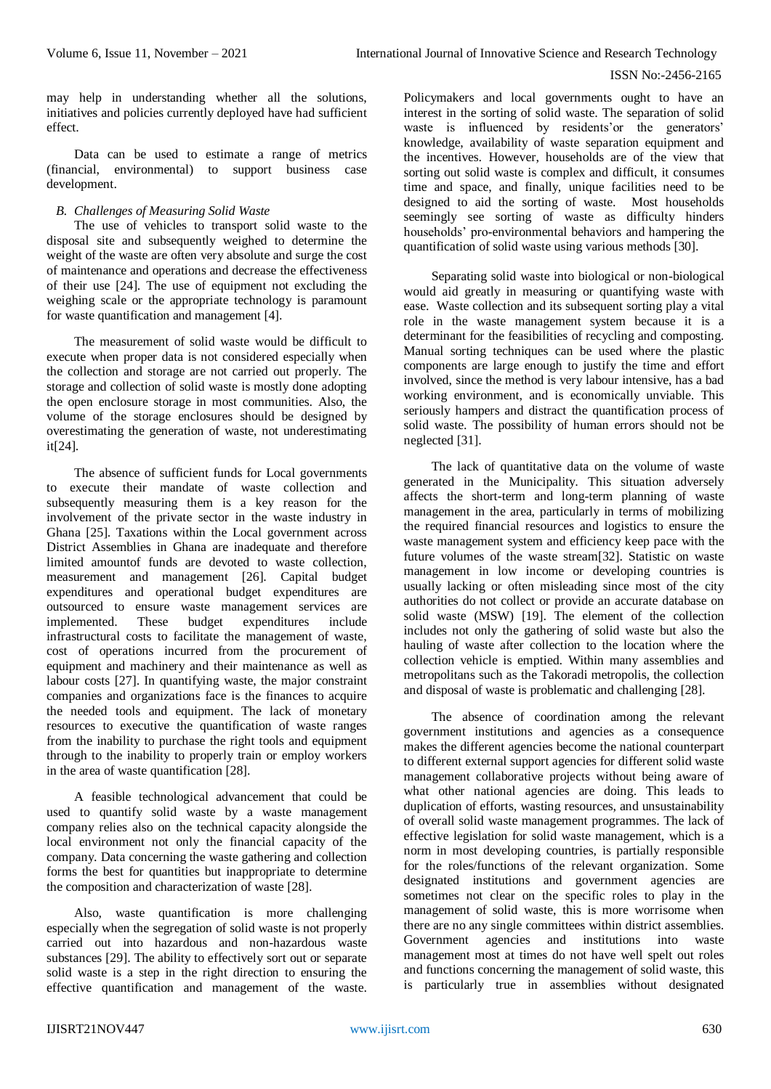may help in understanding whether all the solutions, initiatives and policies currently deployed have had sufficient effect.

Data can be used to estimate a range of metrics (financial, environmental) to support business case development.

#### *B. Challenges of Measuring Solid Waste*

The use of vehicles to transport solid waste to the disposal site and subsequently weighed to determine the weight of the waste are often very absolute and surge the cost of maintenance and operations and decrease the effectiveness of their use [24]. The use of equipment not excluding the weighing scale or the appropriate technology is paramount for waste quantification and management [4].

The measurement of solid waste would be difficult to execute when proper data is not considered especially when the collection and storage are not carried out properly. The storage and collection of solid waste is mostly done adopting the open enclosure storage in most communities. Also, the volume of the storage enclosures should be designed by overestimating the generation of waste, not underestimating it[24].

The absence of sufficient funds for Local governments to execute their mandate of waste collection and subsequently measuring them is a key reason for the involvement of the private sector in the waste industry in Ghana [25]. Taxations within the Local government across District Assemblies in Ghana are inadequate and therefore limited amountof funds are devoted to waste collection, measurement and management [26]. Capital budget expenditures and operational budget expenditures are outsourced to ensure waste management services are implemented. These budget expenditures include infrastructural costs to facilitate the management of waste, cost of operations incurred from the procurement of equipment and machinery and their maintenance as well as labour costs [27]. In quantifying waste, the major constraint companies and organizations face is the finances to acquire the needed tools and equipment. The lack of monetary resources to executive the quantification of waste ranges from the inability to purchase the right tools and equipment through to the inability to properly train or employ workers in the area of waste quantification [28].

A feasible technological advancement that could be used to quantify solid waste by a waste management company relies also on the technical capacity alongside the local environment not only the financial capacity of the company. Data concerning the waste gathering and collection forms the best for quantities but inappropriate to determine the composition and characterization of waste [28].

Also, waste quantification is more challenging especially when the segregation of solid waste is not properly carried out into hazardous and non-hazardous waste substances [29]. The ability to effectively sort out or separate solid waste is a step in the right direction to ensuring the effective quantification and management of the waste. Policymakers and local governments ought to have an interest in the sorting of solid waste. The separation of solid waste is influenced by residents'or the generators' knowledge, availability of waste separation equipment and the incentives. However, households are of the view that sorting out solid waste is complex and difficult, it consumes time and space, and finally, unique facilities need to be designed to aid the sorting of waste. Most households seemingly see sorting of waste as difficulty hinders households' pro-environmental behaviors and hampering the quantification of solid waste using various methods [30].

Separating solid waste into biological or non-biological would aid greatly in measuring or quantifying waste with ease. Waste collection and its subsequent sorting play a vital role in the waste management system because it is a determinant for the feasibilities of recycling and composting. Manual sorting techniques can be used where the plastic components are large enough to justify the time and effort involved, since the method is very labour intensive, has a bad working environment, and is economically unviable. This seriously hampers and distract the quantification process of solid waste. The possibility of human errors should not be neglected [31].

The lack of quantitative data on the volume of waste generated in the Municipality. This situation adversely affects the short-term and long-term planning of waste management in the area, particularly in terms of mobilizing the required financial resources and logistics to ensure the waste management system and efficiency keep pace with the future volumes of the waste stream[32]. Statistic on waste management in low income or developing countries is usually lacking or often misleading since most of the city authorities do not collect or provide an accurate database on solid waste (MSW) [19]. The element of the collection includes not only the gathering of solid waste but also the hauling of waste after collection to the location where the collection vehicle is emptied. Within many assemblies and metropolitans such as the Takoradi metropolis, the collection and disposal of waste is problematic and challenging [28].

The absence of coordination among the relevant government institutions and agencies as a consequence makes the different agencies become the national counterpart to different external support agencies for different solid waste management collaborative projects without being aware of what other national agencies are doing. This leads to duplication of efforts, wasting resources, and unsustainability of overall solid waste management programmes. The lack of effective legislation for solid waste management, which is a norm in most developing countries, is partially responsible for the roles/functions of the relevant organization. Some designated institutions and government agencies are sometimes not clear on the specific roles to play in the management of solid waste, this is more worrisome when there are no any single committees within district assemblies. Government agencies and institutions into waste management most at times do not have well spelt out roles and functions concerning the management of solid waste, this is particularly true in assemblies without designated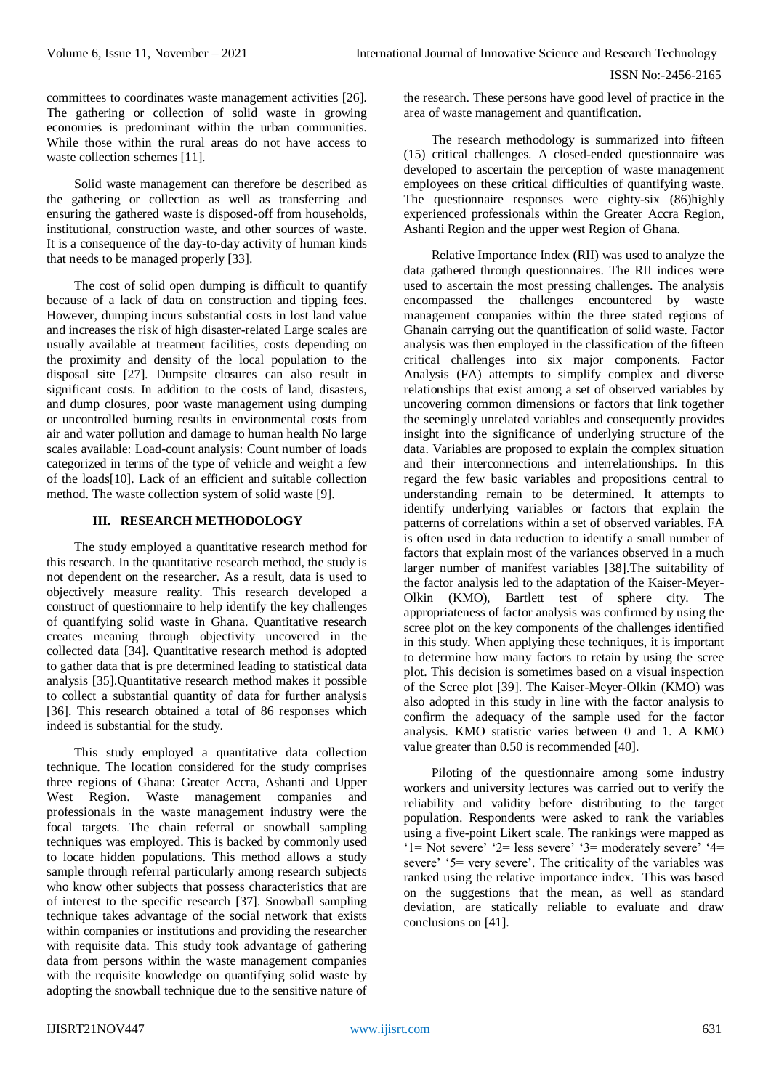committees to coordinates waste management activities [26]. The gathering or collection of solid waste in growing economies is predominant within the urban communities. While those within the rural areas do not have access to waste collection schemes [11].

Solid waste management can therefore be described as the gathering or collection as well as transferring and ensuring the gathered waste is disposed-off from households, institutional, construction waste, and other sources of waste. It is a consequence of the day-to-day activity of human kinds that needs to be managed properly [33].

The cost of solid open dumping is difficult to quantify because of a lack of data on construction and tipping fees. However, dumping incurs substantial costs in lost land value and increases the risk of high disaster-related Large scales are usually available at treatment facilities, costs depending on the proximity and density of the local population to the disposal site [27]. Dumpsite closures can also result in significant costs. In addition to the costs of land, disasters, and dump closures, poor waste management using dumping or uncontrolled burning results in environmental costs from air and water pollution and damage to human health No large scales available: Load-count analysis: Count number of loads categorized in terms of the type of vehicle and weight a few of the loads[10]. Lack of an efficient and suitable collection method. The waste collection system of solid waste [9].

# **III. RESEARCH METHODOLOGY**

The study employed a quantitative research method for this research. In the quantitative research method, the study is not dependent on the researcher. As a result, data is used to objectively measure reality. This research developed a construct of questionnaire to help identify the key challenges of quantifying solid waste in Ghana. Quantitative research creates meaning through objectivity uncovered in the collected data [34]. Quantitative research method is adopted to gather data that is pre determined leading to statistical data analysis [35].Quantitative research method makes it possible to collect a substantial quantity of data for further analysis [36]. This research obtained a total of 86 responses which indeed is substantial for the study.

This study employed a quantitative data collection technique. The location considered for the study comprises three regions of Ghana: Greater Accra, Ashanti and Upper West Region. Waste management companies and professionals in the waste management industry were the focal targets. The chain referral or snowball sampling techniques was employed. This is backed by commonly used to locate hidden populations. This method allows a study sample through referral particularly among research subjects who know other subjects that possess characteristics that are of interest to the specific research [37]. Snowball sampling technique takes advantage of the social network that exists within companies or institutions and providing the researcher with requisite data. This study took advantage of gathering data from persons within the waste management companies with the requisite knowledge on quantifying solid waste by adopting the snowball technique due to the sensitive nature of the research. These persons have good level of practice in the area of waste management and quantification.

The research methodology is summarized into fifteen (15) critical challenges. A closed-ended questionnaire was developed to ascertain the perception of waste management employees on these critical difficulties of quantifying waste. The questionnaire responses were eighty-six (86)highly experienced professionals within the Greater Accra Region, Ashanti Region and the upper west Region of Ghana.

Relative Importance Index (RII) was used to analyze the data gathered through questionnaires. The RII indices were used to ascertain the most pressing challenges. The analysis encompassed the challenges encountered by waste management companies within the three stated regions of Ghanain carrying out the quantification of solid waste. Factor analysis was then employed in the classification of the fifteen critical challenges into six major components. Factor Analysis (FA) attempts to simplify complex and diverse relationships that exist among a set of observed variables by uncovering common dimensions or factors that link together the seemingly unrelated variables and consequently provides insight into the significance of underlying structure of the data. Variables are proposed to explain the complex situation and their interconnections and interrelationships. In this regard the few basic variables and propositions central to understanding remain to be determined. It attempts to identify underlying variables or factors that explain the patterns of correlations within a set of observed variables. FA is often used in data reduction to identify a small number of factors that explain most of the variances observed in a much larger number of manifest variables [38].The suitability of the factor analysis led to the adaptation of the Kaiser-Meyer-Olkin (KMO), Bartlett test of sphere city. The appropriateness of factor analysis was confirmed by using the scree plot on the key components of the challenges identified in this study. When applying these techniques, it is important to determine how many factors to retain by using the scree plot. This decision is sometimes based on a visual inspection of the Scree plot [39]. The Kaiser-Meyer-Olkin (KMO) was also adopted in this study in line with the factor analysis to confirm the adequacy of the sample used for the factor analysis. KMO statistic varies between 0 and 1. A KMO value greater than 0.50 is recommended [40].

Piloting of the questionnaire among some industry workers and university lectures was carried out to verify the reliability and validity before distributing to the target population. Respondents were asked to rank the variables using a five-point Likert scale. The rankings were mapped as '1= Not severe' '2= less severe' '3= moderately severe' '4= severe' '5= very severe'. The criticality of the variables was ranked using the relative importance index. This was based on the suggestions that the mean, as well as standard deviation, are statically reliable to evaluate and draw conclusions on [41].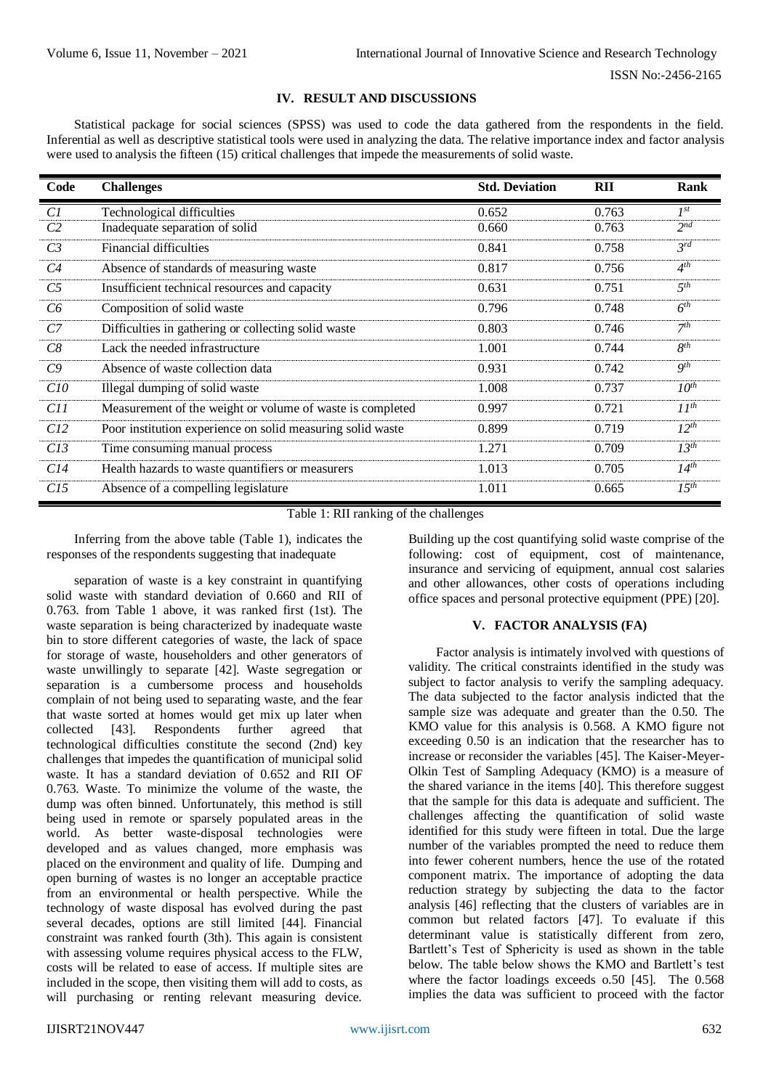# **IV. RESULT AND DISCUSSIONS**

Statistical package for social sciences (SPSS) was used to code the data gathered from the respondents in the field. Inferential as well as descriptive statistical tools were used in analyzing the data. The relative importance index and factor analysis were used to analysis the fifteen (15) critical challenges that impede the measurements of solid waste.

| Code            | <b>Challenges</b>                                          | <b>Std. Deviation</b> | <b>RII</b> | Rank            |
|-----------------|------------------------------------------------------------|-----------------------|------------|-----------------|
| C1              | <b>Technological difficulties</b>                          | 0.652                 | 0.763      | $I^{st}$        |
| C2              | Inadequate separation of solid                             | 0.660                 | 0.763      | $2^{nd}$        |
| C <sub>3</sub>  | Financial difficulties                                     | 0.841                 | 0.758      | $3^{rd}$        |
| C4              | Absence of standards of measuring waste                    | 0.817                 | 0.756      | $4^{th}$        |
| C5              | Insufficient technical resources and capacity              | 0.631                 | 0.751      | $5^{th}$        |
| C6              | Composition of solid waste                                 | 0.796                 | 0.748      | 6 <sup>th</sup> |
| C7              | Difficulties in gathering or collecting solid waste        | 0.803                 | 0.746      | 7 <sup>th</sup> |
| C8              | Lack the needed infrastructure                             | 1.001                 | 0.744      | $8^{th}$        |
| C9              | Absence of waste collection data                           | 0.931                 | 0.742      | $Q^{th}$        |
| C10             | Illegal dumping of solid waste                             | 1.008                 | 0.737      | $10^{th}$       |
| C <sub>11</sub> | Measurement of the weight or volume of waste is completed  | 0.997                 | 0.721      | $II^{th}$       |
| C12             | Poor institution experience on solid measuring solid waste | 0.899                 | 0.719      | $12^{th}$       |
| C13             | Time consuming manual process                              | 1.271                 | 0.709      | $13^{th}$       |
| C14             | Health hazards to waste quantifiers or measurers           | 1.013                 | 0.705      | $14^{th}$       |
| C15             | Absence of a compelling legislature                        | 1.011                 | 0.665      | $15^{th}$       |

Table 1: RII ranking of the challenges

Inferring from the above table (Table 1), indicates the responses of the respondents suggesting that inadequate

separation of waste is a key constraint in quantifying solid waste with standard deviation of 0.660 and RII of 0.763. from Table 1 above, it was ranked first (1st). The waste separation is being characterized by inadequate waste bin to store different categories of waste, the lack of space for storage of waste, householders and other generators of waste unwillingly to separate [42]. Waste segregation or separation is a cumbersome process and households complain of not being used to separating waste, and the fear that waste sorted at homes would get mix up later when collected [43]. Respondents further agreed that technological difficulties constitute the second (2nd) key challenges that impedes the quantification of municipal solid waste. It has a standard deviation of 0.652 and RII OF 0.763. Waste. To minimize the volume of the waste, the dump was often binned. Unfortunately, this method is still being used in remote or sparsely populated areas in the world. As better waste-disposal technologies were developed and as values changed, more emphasis was placed on the environment and quality of life. Dumping and open burning of wastes is no longer an acceptable practice from an environmental or health perspective. While the technology of waste disposal has evolved during the past several decades, options are still limited [44]. Financial constraint was ranked fourth (3th). This again is consistent with assessing volume requires physical access to the FLW, costs will be related to ease of access. If multiple sites are included in the scope, then visiting them will add to costs, as will purchasing or renting relevant measuring device.

Building up the cost quantifying solid waste comprise of the following: cost of equipment, cost of maintenance, insurance and servicing of equipment, annual cost salaries and other allowances, other costs of operations including office spaces and personal protective equipment (PPE) [20].

## **V. FACTOR ANALYSIS (FA)**

Factor analysis is intimately involved with questions of validity. The critical constraints identified in the study was subject to factor analysis to verify the sampling adequacy. The data subjected to the factor analysis indicted that the sample size was adequate and greater than the 0.50. The KMO value for this analysis is 0.568. A KMO figure not exceeding 0.50 is an indication that the researcher has to increase or reconsider the variables [45]. The Kaiser-Meyer-Olkin Test of Sampling Adequacy (KMO) is a measure of the shared variance in the items [40]. This therefore suggest that the sample for this data is adequate and sufficient. The challenges affecting the quantification of solid waste identified for this study were fifteen in total. Due the large number of the variables prompted the need to reduce them into fewer coherent numbers, hence the use of the rotated component matrix. The importance of adopting the data reduction strategy by subjecting the data to the factor analysis [46] reflecting that the clusters of variables are in common but related factors [47]. To evaluate if this determinant value is statistically different from zero, Bartlett's Test of Sphericity is used as shown in the table below. The table below shows the KMO and Bartlett's test where the factor loadings exceeds o.50 [45]. The 0.568 implies the data was sufficient to proceed with the factor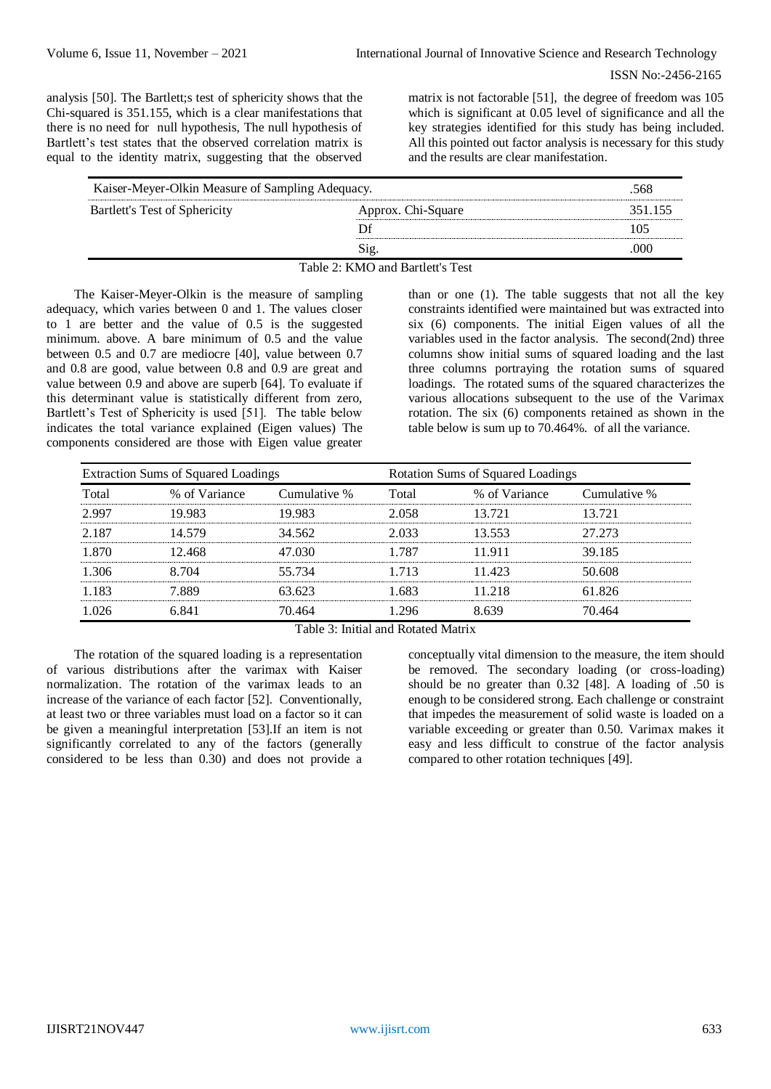analysis [50]. The Bartlett;s test of sphericity shows that the Chi-squared is 351.155, which is a clear manifestations that there is no need for null hypothesis, The null hypothesis of Bartlett's test states that the observed correlation matrix is equal to the identity matrix, suggesting that the observed

matrix is not factorable [51], the degree of freedom was 105 which is significant at 0.05 level of significance and all the key strategies identified for this study has being included. All this pointed out factor analysis is necessary for this study and the results are clear manifestation.

| Kaiser-Meyer-Olkin Measure of Sampling Adequacy. |                                  |         |
|--------------------------------------------------|----------------------------------|---------|
| Bartlett's Test of Sphericity                    | Approx. Chi-Square               | 351.155 |
|                                                  |                                  | 105     |
|                                                  | Sig.                             | 000     |
|                                                  | Table 2: KMO and Bartlett's Test |         |

The Kaiser-Meyer-Olkin is the measure of sampling adequacy, which varies between 0 and 1. The values closer to 1 are better and the value of 0.5 is the suggested minimum. above. A bare minimum of 0.5 and the value between 0.5 and 0.7 are mediocre [40], value between 0.7 and 0.8 are good, value between 0.8 and 0.9 are great and value between 0.9 and above are superb [64]. To evaluate if this determinant value is statistically different from zero, Bartlett's Test of Sphericity is used [51]. The table below indicates the total variance explained (Eigen values) The components considered are those with Eigen value greater

than or one (1). The table suggests that not all the key constraints identified were maintained but was extracted into six (6) components. The initial Eigen values of all the variables used in the factor analysis. The second(2nd) three columns show initial sums of squared loading and the last three columns portraying the rotation sums of squared loadings. The rotated sums of the squared characterizes the various allocations subsequent to the use of the Varimax rotation. The six (6) components retained as shown in the table below is sum up to 70.464%. of all the variance.

| Extraction Sums of Squared Loadings |              |       | Rotation Sums of Squared Loadings |              |  |  |  |
|-------------------------------------|--------------|-------|-----------------------------------|--------------|--|--|--|
| % of Variance                       | Cumulative % | Total | % of Variance                     | Cumulative % |  |  |  |
| 19.983                              | 19.983       | 2.058 | 13.721                            | 13.721       |  |  |  |
| 14.579                              | 34.562       | 2.033 | 13.553                            | 27.273       |  |  |  |
| 12.468                              | 47.030       | 1.787 | 11.911                            | 39.185       |  |  |  |
| 8.704                               | 55.734       | 1.713 | 11.423                            | 50.608       |  |  |  |
| 7.889                               | 63.623       | 1.683 | 11.218                            | 61.826       |  |  |  |
| 6.841                               | 70.464       | 1.296 | 8.639                             | 70.464       |  |  |  |
|                                     |              |       |                                   |              |  |  |  |

Table 3: Initial and Rotated Matrix

The rotation of the squared loading is a representation of various distributions after the varimax with Kaiser normalization. The rotation of the varimax leads to an increase of the variance of each factor [52]. Conventionally, at least two or three variables must load on a factor so it can be given a meaningful interpretation [53].If an item is not significantly correlated to any of the factors (generally considered to be less than 0.30) and does not provide a

conceptually vital dimension to the measure, the item should be removed. The secondary loading (or cross-loading) should be no greater than 0.32 [48]. A loading of .50 is enough to be considered strong. Each challenge or constraint that impedes the measurement of solid waste is loaded on a variable exceeding or greater than 0.50. Varimax makes it easy and less difficult to construe of the factor analysis compared to other rotation techniques [49].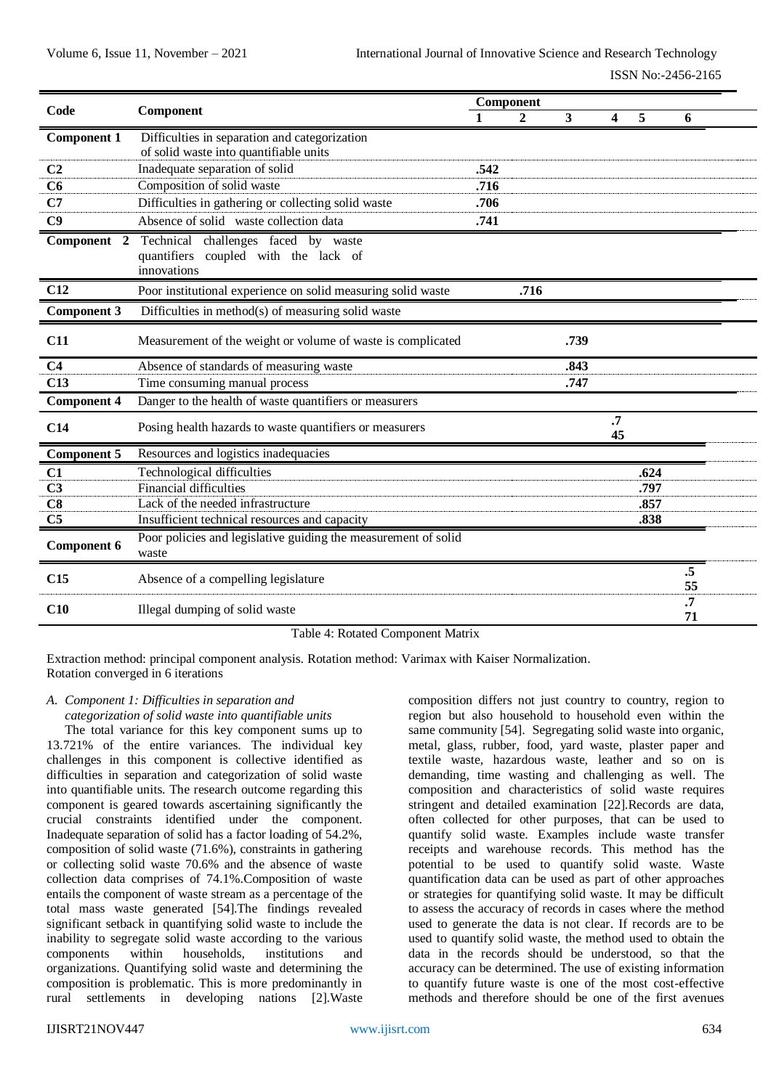| Code               | Component                                                               | Component |             |              |                         |      |          |
|--------------------|-------------------------------------------------------------------------|-----------|-------------|--------------|-------------------------|------|----------|
|                    |                                                                         | 1         | $\mathbf 2$ | $\mathbf{3}$ | $\overline{\mathbf{4}}$ | 5    | 6        |
| <b>Component 1</b> | Difficulties in separation and categorization                           |           |             |              |                         |      |          |
|                    | of solid waste into quantifiable units                                  |           |             |              |                         |      |          |
| C <sub>2</sub>     | Inadequate separation of solid                                          | .542      |             |              |                         |      |          |
| C6                 | Composition of solid waste                                              | .716      |             |              |                         |      |          |
| C7                 | Difficulties in gathering or collecting solid waste                     | .706      |             |              |                         |      |          |
| C9                 | Absence of solid waste collection data                                  | .741      |             |              |                         |      |          |
| Component 2        | Technical challenges faced by waste                                     |           |             |              |                         |      |          |
|                    | quantifiers coupled with the lack of<br>innovations                     |           |             |              |                         |      |          |
| C12                | Poor institutional experience on solid measuring solid waste            |           | .716        |              |                         |      |          |
| <b>Component 3</b> | Difficulties in method(s) of measuring solid waste                      |           |             |              |                         |      |          |
| C11                | Measurement of the weight or volume of waste is complicated             |           |             | .739         |                         |      |          |
| C <sub>4</sub>     | Absence of standards of measuring waste                                 |           |             | .843         |                         |      |          |
| C13                | Time consuming manual process                                           |           |             | .747         |                         |      |          |
| <b>Component 4</b> | Danger to the health of waste quantifiers or measurers                  |           |             |              |                         |      |          |
| C14                | Posing health hazards to waste quantifiers or measurers                 |           |             |              | $\overline{.7}$<br>45   |      |          |
| <b>Component 5</b> | Resources and logistics inadequacies                                    |           |             |              |                         |      |          |
| C1                 | Technological difficulties                                              |           |             |              |                         | .624 |          |
| C <sub>3</sub>     | <b>Financial difficulties</b>                                           |           |             |              |                         | .797 |          |
| C8                 | Lack of the needed infrastructure                                       |           |             |              |                         | .857 |          |
| C <sub>5</sub>     | Insufficient technical resources and capacity                           |           |             |              |                         | .838 |          |
| <b>Component 6</b> | Poor policies and legislative guiding the measurement of solid<br>waste |           |             |              |                         |      |          |
| C15                | Absence of a compelling legislature                                     |           |             |              |                         |      | .5<br>55 |
| C10                | Illegal dumping of solid waste                                          |           |             |              |                         |      | .7<br>71 |

#### Table 4: Rotated Component Matrix

Extraction method: principal component analysis. Rotation method: Varimax with Kaiser Normalization. Rotation converged in 6 iterations

#### *A. Component 1: Difficulties in separation and categorization of solid waste into quantifiable units*

The total variance for this key component sums up to 13.721% of the entire variances. The individual key challenges in this component is collective identified as difficulties in separation and categorization of solid waste into quantifiable units. The research outcome regarding this component is geared towards ascertaining significantly the crucial constraints identified under the component. Inadequate separation of solid has a factor loading of 54.2%, composition of solid waste (71.6%), constraints in gathering or collecting solid waste 70.6% and the absence of waste collection data comprises of 74.1%.Composition of waste entails the component of waste stream as a percentage of the total mass waste generated [54].The findings revealed significant setback in quantifying solid waste to include the inability to segregate solid waste according to the various components within households, institutions and organizations. Quantifying solid waste and determining the composition is problematic. This is more predominantly in rural settlements in developing nations [2].Waste

composition differs not just country to country, region to region but also household to household even within the same community [54]. Segregating solid waste into organic, metal, glass, rubber, food, yard waste, plaster paper and textile waste, hazardous waste, leather and so on is demanding, time wasting and challenging as well. The composition and characteristics of solid waste requires stringent and detailed examination [22].Records are data, often collected for other purposes, that can be used to quantify solid waste. Examples include waste transfer receipts and warehouse records. This method has the potential to be used to quantify solid waste. Waste quantification data can be used as part of other approaches or strategies for quantifying solid waste. It may be difficult to assess the accuracy of records in cases where the method used to generate the data is not clear. If records are to be used to quantify solid waste, the method used to obtain the data in the records should be understood, so that the accuracy can be determined. The use of existing information to quantify future waste is one of the most cost-effective methods and therefore should be one of the first avenues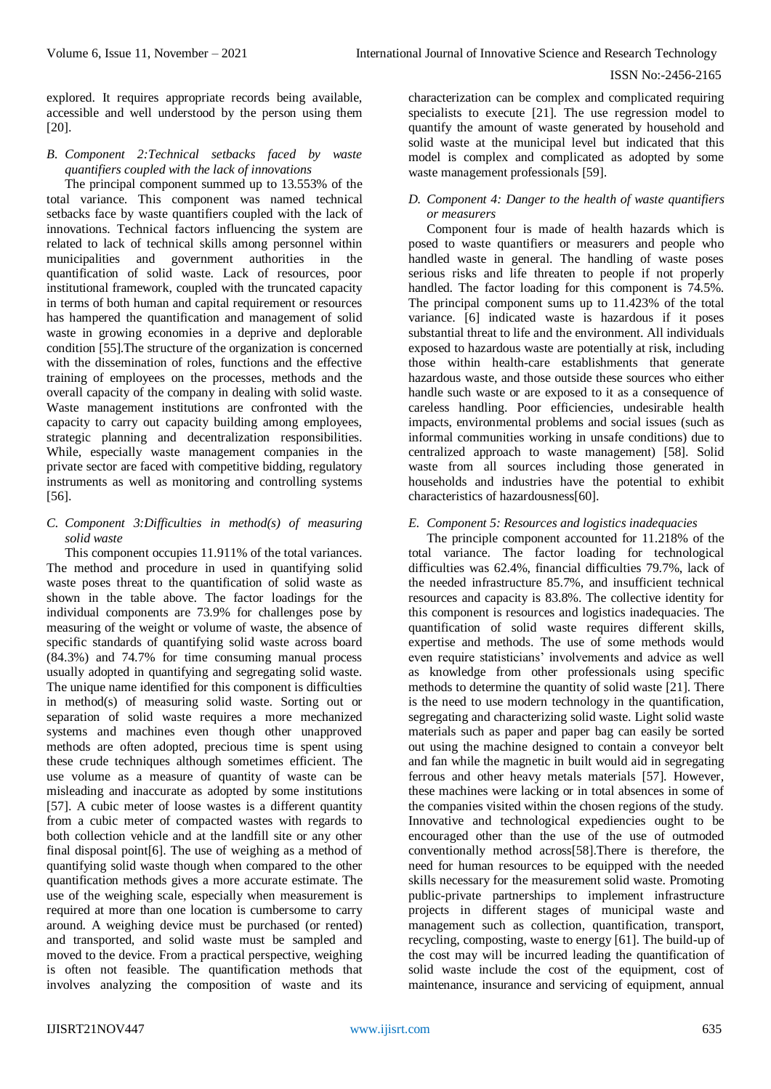explored. It requires appropriate records being available, accessible and well understood by the person using them [20].

## *B. Component 2:Technical setbacks faced by waste quantifiers coupled with the lack of innovations*

The principal component summed up to 13.553% of the total variance. This component was named technical setbacks face by waste quantifiers coupled with the lack of innovations. Technical factors influencing the system are related to lack of technical skills among personnel within municipalities and government authorities in the quantification of solid waste. Lack of resources, poor institutional framework, coupled with the truncated capacity in terms of both human and capital requirement or resources has hampered the quantification and management of solid waste in growing economies in a deprive and deplorable condition [55].The structure of the organization is concerned with the dissemination of roles, functions and the effective training of employees on the processes, methods and the overall capacity of the company in dealing with solid waste. Waste management institutions are confronted with the capacity to carry out capacity building among employees, strategic planning and decentralization responsibilities. While, especially waste management companies in the private sector are faced with competitive bidding, regulatory instruments as well as monitoring and controlling systems [56].

# *C. Component 3:Difficulties in method(s) of measuring solid waste*

This component occupies 11.911% of the total variances. The method and procedure in used in quantifying solid waste poses threat to the quantification of solid waste as shown in the table above. The factor loadings for the individual components are 73.9% for challenges pose by measuring of the weight or volume of waste, the absence of specific standards of quantifying solid waste across board (84.3%) and 74.7% for time consuming manual process usually adopted in quantifying and segregating solid waste. The unique name identified for this component is difficulties in method(s) of measuring solid waste. Sorting out or separation of solid waste requires a more mechanized systems and machines even though other unapproved methods are often adopted, precious time is spent using these crude techniques although sometimes efficient. The use volume as a measure of quantity of waste can be misleading and inaccurate as adopted by some institutions [57]. A cubic meter of loose wastes is a different quantity from a cubic meter of compacted wastes with regards to both collection vehicle and at the landfill site or any other final disposal point[6]. The use of weighing as a method of quantifying solid waste though when compared to the other quantification methods gives a more accurate estimate. The use of the weighing scale, especially when measurement is required at more than one location is cumbersome to carry around. A weighing device must be purchased (or rented) and transported, and solid waste must be sampled and moved to the device. From a practical perspective, weighing is often not feasible. The quantification methods that involves analyzing the composition of waste and its

characterization can be complex and complicated requiring specialists to execute [21]. The use regression model to quantify the amount of waste generated by household and solid waste at the municipal level but indicated that this model is complex and complicated as adopted by some waste management professionals [59].

## *D. Component 4: Danger to the health of waste quantifiers or measurers*

Component four is made of health hazards which is posed to waste quantifiers or measurers and people who handled waste in general. The handling of waste poses serious risks and life threaten to people if not properly handled. The factor loading for this component is 74.5%. The principal component sums up to 11.423% of the total variance. [6] indicated waste is hazardous if it poses substantial threat to life and the environment. All individuals exposed to hazardous waste are potentially at risk, including those within health-care establishments that generate hazardous waste, and those outside these sources who either handle such waste or are exposed to it as a consequence of careless handling. Poor efficiencies, undesirable health impacts, environmental problems and social issues (such as informal communities working in unsafe conditions) due to centralized approach to waste management) [58]. Solid waste from all sources including those generated in households and industries have the potential to exhibit characteristics of hazardousness[60].

# *E. Component 5: Resources and logistics inadequacies*

The principle component accounted for 11.218% of the total variance. The factor loading for technological difficulties was 62.4%, financial difficulties 79.7%, lack of the needed infrastructure 85.7%, and insufficient technical resources and capacity is 83.8%. The collective identity for this component is resources and logistics inadequacies. The quantification of solid waste requires different skills, expertise and methods. The use of some methods would even require statisticians' involvements and advice as well as knowledge from other professionals using specific methods to determine the quantity of solid waste [21]. There is the need to use modern technology in the quantification, segregating and characterizing solid waste. Light solid waste materials such as paper and paper bag can easily be sorted out using the machine designed to contain a conveyor belt and fan while the magnetic in built would aid in segregating ferrous and other heavy metals materials [57]. However, these machines were lacking or in total absences in some of the companies visited within the chosen regions of the study. Innovative and technological expediencies ought to be encouraged other than the use of the use of outmoded conventionally method across[58].There is therefore, the need for human resources to be equipped with the needed skills necessary for the measurement solid waste. Promoting public-private partnerships to implement infrastructure projects in different stages of municipal waste and management such as collection, quantification, transport, recycling, composting, waste to energy [61]. The build-up of the cost may will be incurred leading the quantification of solid waste include the cost of the equipment, cost of maintenance, insurance and servicing of equipment, annual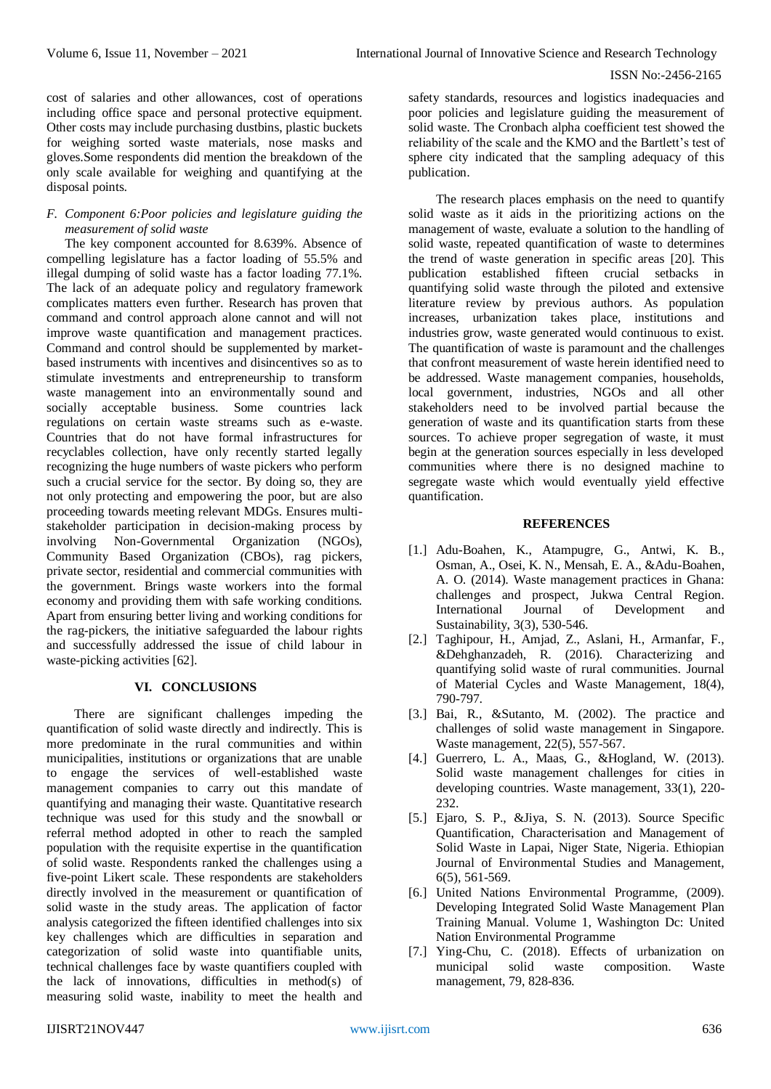cost of salaries and other allowances, cost of operations including office space and personal protective equipment. Other costs may include purchasing dustbins, plastic buckets for weighing sorted waste materials, nose masks and gloves.Some respondents did mention the breakdown of the only scale available for weighing and quantifying at the disposal points.

# *F. Component 6:Poor policies and legislature guiding the measurement of solid waste*

The key component accounted for 8.639%. Absence of compelling legislature has a factor loading of 55.5% and illegal dumping of solid waste has a factor loading 77.1%. The lack of an adequate policy and regulatory framework complicates matters even further. Research has proven that command and control approach alone cannot and will not improve waste quantification and management practices. Command and control should be supplemented by marketbased instruments with incentives and disincentives so as to stimulate investments and entrepreneurship to transform waste management into an environmentally sound and socially acceptable business. Some countries lack regulations on certain waste streams such as e-waste. Countries that do not have formal infrastructures for recyclables collection, have only recently started legally recognizing the huge numbers of waste pickers who perform such a crucial service for the sector. By doing so, they are not only protecting and empowering the poor, but are also proceeding towards meeting relevant MDGs. Ensures multistakeholder participation in decision-making process by involving Non-Governmental Organization (NGOs), Community Based Organization (CBOs), rag pickers, private sector, residential and commercial communities with the government. Brings waste workers into the formal economy and providing them with safe working conditions. Apart from ensuring better living and working conditions for the rag-pickers, the initiative safeguarded the labour rights and successfully addressed the issue of child labour in waste-picking activities [62].

### **VI. CONCLUSIONS**

There are significant challenges impeding the quantification of solid waste directly and indirectly. This is more predominate in the rural communities and within municipalities, institutions or organizations that are unable to engage the services of well-established waste management companies to carry out this mandate of quantifying and managing their waste. Quantitative research technique was used for this study and the snowball or referral method adopted in other to reach the sampled population with the requisite expertise in the quantification of solid waste. Respondents ranked the challenges using a five-point Likert scale. These respondents are stakeholders directly involved in the measurement or quantification of solid waste in the study areas. The application of factor analysis categorized the fifteen identified challenges into six key challenges which are difficulties in separation and categorization of solid waste into quantifiable units, technical challenges face by waste quantifiers coupled with the lack of innovations, difficulties in method(s) of measuring solid waste, inability to meet the health and

safety standards, resources and logistics inadequacies and poor policies and legislature guiding the measurement of solid waste. The Cronbach alpha coefficient test showed the reliability of the scale and the KMO and the Bartlett's test of sphere city indicated that the sampling adequacy of this publication.

The research places emphasis on the need to quantify solid waste as it aids in the prioritizing actions on the management of waste, evaluate a solution to the handling of solid waste, repeated quantification of waste to determines the trend of waste generation in specific areas [20]. This publication established fifteen crucial setbacks in quantifying solid waste through the piloted and extensive literature review by previous authors. As population increases, urbanization takes place, institutions and industries grow, waste generated would continuous to exist. The quantification of waste is paramount and the challenges that confront measurement of waste herein identified need to be addressed. Waste management companies, households, local government, industries, NGOs and all other stakeholders need to be involved partial because the generation of waste and its quantification starts from these sources. To achieve proper segregation of waste, it must begin at the generation sources especially in less developed communities where there is no designed machine to segregate waste which would eventually yield effective quantification.

#### **REFERENCES**

- [1.] Adu-Boahen, K., Atampugre, G., Antwi, K. B., Osman, A., Osei, K. N., Mensah, E. A., &Adu-Boahen, A. O. (2014). Waste management practices in Ghana: challenges and prospect, Jukwa Central Region. International Journal of Development and Sustainability, 3(3), 530-546.
- [2.] Taghipour, H., Amjad, Z., Aslani, H., Armanfar, F., &Dehghanzadeh, R. (2016). Characterizing and quantifying solid waste of rural communities. Journal of Material Cycles and Waste Management, 18(4), 790-797.
- [3.] Bai, R., &Sutanto, M. (2002). The practice and challenges of solid waste management in Singapore. Waste management, 22(5), 557-567.
- [4.] Guerrero, L. A., Maas, G., &Hogland, W. (2013). Solid waste management challenges for cities in developing countries. Waste management, 33(1), 220- 232.
- [5.] Ejaro, S. P., &Jiya, S. N. (2013). Source Specific Quantification, Characterisation and Management of Solid Waste in Lapai, Niger State, Nigeria. Ethiopian Journal of Environmental Studies and Management, 6(5), 561-569.
- [6.] United Nations Environmental Programme, (2009). Developing Integrated Solid Waste Management Plan Training Manual. Volume 1, Washington Dc: United Nation Environmental Programme
- [7.] Ying-Chu, C. (2018). Effects of urbanization on municipal solid waste composition. Waste management, 79, 828-836.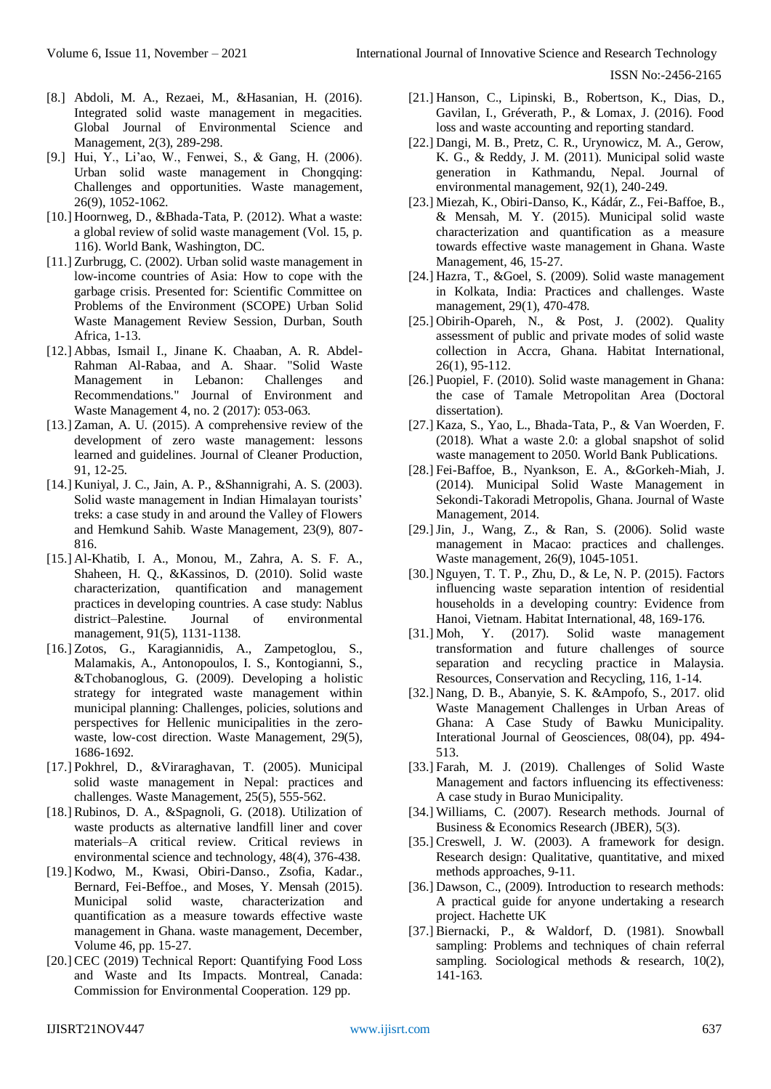- [8.] Abdoli, M. A., Rezaei, M., &Hasanian, H. (2016). Integrated solid waste management in megacities. Global Journal of Environmental Science and Management, 2(3), 289-298.
- [9.] Hui, Y., Li'ao, W., Fenwei, S., & Gang, H. (2006). Urban solid waste management in Chongqing: Challenges and opportunities. Waste management, 26(9), 1052-1062.
- [10.] Hoornweg, D., &Bhada-Tata, P. (2012). What a waste: a global review of solid waste management (Vol. 15, p. 116). World Bank, Washington, DC.
- [11.] Zurbrugg, C. (2002). Urban solid waste management in low-income countries of Asia: How to cope with the garbage crisis. Presented for: Scientific Committee on Problems of the Environment (SCOPE) Urban Solid Waste Management Review Session, Durban, South Africa, 1-13.
- [12.] Abbas, Ismail I., Jinane K. Chaaban, A. R. Abdel-Rahman Al-Rabaa, and A. Shaar. "Solid Waste Management in Lebanon: Challenges and Recommendations." Journal of Environment and Waste Management 4, no. 2 (2017): 053-063.
- [13.] Zaman, A. U. (2015). A comprehensive review of the development of zero waste management: lessons learned and guidelines. Journal of Cleaner Production, 91, 12-25.
- [14.] Kuniyal, J. C., Jain, A. P., &Shannigrahi, A. S. (2003). Solid waste management in Indian Himalayan tourists' treks: a case study in and around the Valley of Flowers and Hemkund Sahib. Waste Management, 23(9), 807- 816.
- [15.] Al-Khatib, I. A., Monou, M., Zahra, A. S. F. A., Shaheen, H. Q., &Kassinos, D. (2010). Solid waste characterization, quantification and management practices in developing countries. A case study: Nablus district–Palestine. Journal of environmental management, 91(5), 1131-1138.
- [16.] Zotos, G., Karagiannidis, A., Zampetoglou, S., Malamakis, A., Antonopoulos, I. S., Kontogianni, S., &Tchobanoglous, G. (2009). Developing a holistic strategy for integrated waste management within municipal planning: Challenges, policies, solutions and perspectives for Hellenic municipalities in the zerowaste, low-cost direction. Waste Management, 29(5), 1686-1692.
- [17.] Pokhrel, D., &Viraraghavan, T. (2005). Municipal solid waste management in Nepal: practices and challenges. Waste Management, 25(5), 555-562.
- [18.] Rubinos, D. A., &Spagnoli, G. (2018). Utilization of waste products as alternative landfill liner and cover materials–A critical review. Critical reviews in environmental science and technology, 48(4), 376-438.
- [19.] Kodwo, M., Kwasi, Obiri-Danso., Zsofia, Kadar., Bernard, Fei-Beffoe., and Moses, Y. Mensah (2015). Municipal solid waste, characterization and quantification as a measure towards effective waste management in Ghana. waste management, December, Volume 46, pp. 15-27.
- [20.] CEC (2019) Technical Report: Quantifying Food Loss and Waste and Its Impacts. Montreal, Canada: Commission for Environmental Cooperation. 129 pp.
- [21.] Hanson, C., Lipinski, B., Robertson, K., Dias, D., Gavilan, I., Gréverath, P., & Lomax, J. (2016). Food loss and waste accounting and reporting standard.
- [22.] Dangi, M. B., Pretz, C. R., Urynowicz, M. A., Gerow, K. G., & Reddy, J. M. (2011). Municipal solid waste generation in Kathmandu, Nepal. Journal of environmental management, 92(1), 240-249.
- [23.] Miezah, K., Obiri-Danso, K., Kádár, Z., Fei-Baffoe, B., & Mensah, M. Y. (2015). Municipal solid waste characterization and quantification as a measure towards effective waste management in Ghana. Waste Management, 46, 15-27.
- [24.] Hazra, T., &Goel, S. (2009). Solid waste management in Kolkata, India: Practices and challenges. Waste management, 29(1), 470-478.
- [25.] Obirih-Opareh, N., & Post, J. (2002). Quality assessment of public and private modes of solid waste collection in Accra, Ghana. Habitat International, 26(1), 95-112.
- [26.] Puopiel, F. (2010). Solid waste management in Ghana: the case of Tamale Metropolitan Area (Doctoral dissertation).
- [27.] Kaza, S., Yao, L., Bhada-Tata, P., & Van Woerden, F. (2018). What a waste 2.0: a global snapshot of solid waste management to 2050. World Bank Publications.
- [28.] Fei-Baffoe, B., Nyankson, E. A., &Gorkeh-Miah, J. (2014). Municipal Solid Waste Management in Sekondi-Takoradi Metropolis, Ghana. Journal of Waste Management, 2014.
- [29.]Jin, J., Wang, Z., & Ran, S. (2006). Solid waste management in Macao: practices and challenges. Waste management, 26(9), 1045-1051.
- [30.] Nguyen, T. T. P., Zhu, D., & Le, N. P. (2015). Factors influencing waste separation intention of residential households in a developing country: Evidence from Hanoi, Vietnam. Habitat International, 48, 169-176.
- [31.] Moh, Y. (2017). Solid waste management transformation and future challenges of source separation and recycling practice in Malaysia. Resources, Conservation and Recycling, 116, 1-14.
- [32.] Nang, D. B., Abanyie, S. K. &Ampofo, S., 2017. olid Waste Management Challenges in Urban Areas of Ghana: A Case Study of Bawku Municipality. Interational Journal of Geosciences, 08(04), pp. 494- 513.
- [33.] Farah, M. J. (2019). Challenges of Solid Waste Management and factors influencing its effectiveness: A case study in Burao Municipality.
- [34.] Williams, C. (2007). Research methods. Journal of Business & Economics Research (JBER), 5(3).
- [35.] Creswell, J. W. (2003). A framework for design. Research design: Qualitative, quantitative, and mixed methods approaches, 9-11.
- [36.] Dawson, C., (2009). Introduction to research methods: A practical guide for anyone undertaking a research project. Hachette UK
- [37.] Biernacki, P., & Waldorf, D. (1981). Snowball sampling: Problems and techniques of chain referral sampling. Sociological methods & research, 10(2), 141-163.